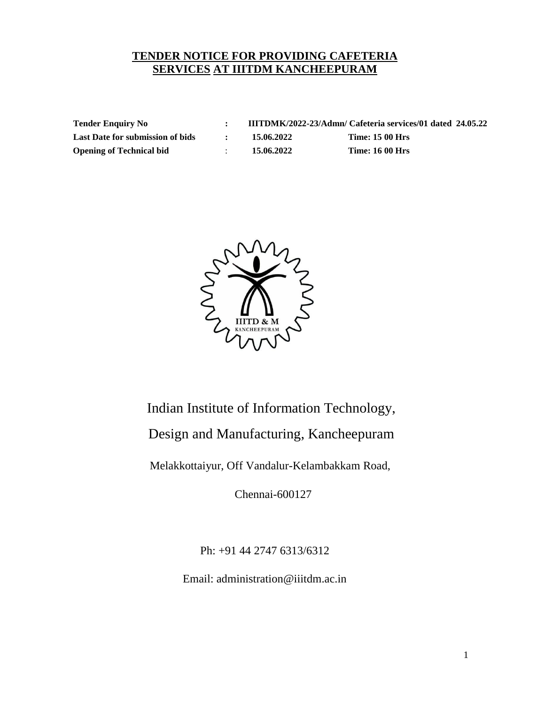# **TENDER NOTICE FOR PROVIDING CAFETERIA SERVICES AT IIITDM KANCHEEPURAM**

**Tender Enquiry No : IIITDMK/2022-23/Admn/ Cafeteria services/01 dated 24.05.22 Last Date for submission of bids : 15.06.2022 Time: 15 00 Hrs Opening of Technical bid** : **15.06.2022 Time: 16 00 Hrs**



# Indian Institute of Information Technology,

Design and Manufacturing, Kancheepuram

Melakkottaiyur, Off Vandalur-Kelambakkam Road,

Chennai-600127

Ph: +91 44 2747 6313/6312

Email: [administration@iiitdm.ac.in](mailto:administration@iiitdm.ac.in)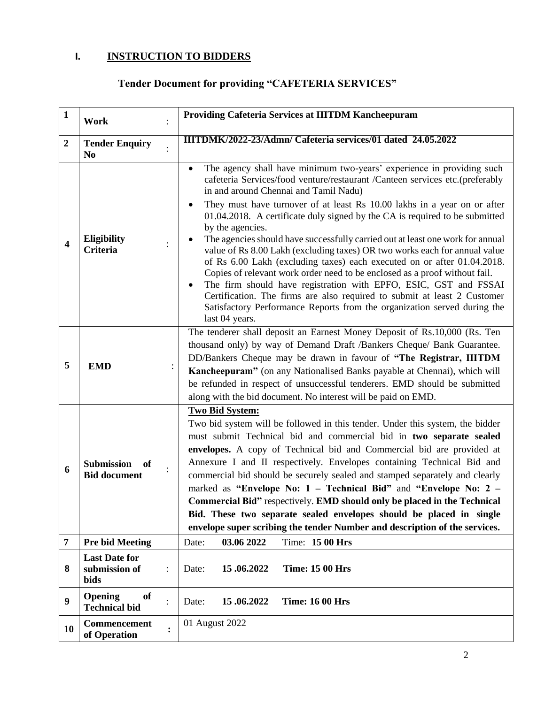# **I. INSTRUCTION TO BIDDERS**

# **Tender Document for providing "CAFETERIA SERVICES"**

| $\mathbf{1}$     | Work                                           |                | <b>Providing Cafeteria Services at IIITDM Kancheepuram</b>                                                                                                                                                                                                                                                                                                                                                                                                                                                                                                                                                                                                                                                                                                                                                                                                                                                                                                             |  |  |
|------------------|------------------------------------------------|----------------|------------------------------------------------------------------------------------------------------------------------------------------------------------------------------------------------------------------------------------------------------------------------------------------------------------------------------------------------------------------------------------------------------------------------------------------------------------------------------------------------------------------------------------------------------------------------------------------------------------------------------------------------------------------------------------------------------------------------------------------------------------------------------------------------------------------------------------------------------------------------------------------------------------------------------------------------------------------------|--|--|
| $\boldsymbol{2}$ | <b>Tender Enquiry</b><br>N <sub>0</sub>        |                | IIITDMK/2022-23/Admn/ Cafeteria services/01 dated 24.05.2022                                                                                                                                                                                                                                                                                                                                                                                                                                                                                                                                                                                                                                                                                                                                                                                                                                                                                                           |  |  |
| 4                | Eligibility<br><b>Criteria</b>                 |                | The agency shall have minimum two-years' experience in providing such<br>cafeteria Services/food venture/restaurant /Canteen services etc.(preferably<br>in and around Chennai and Tamil Nadu)<br>They must have turnover of at least Rs 10.00 lakhs in a year on or after<br>٠<br>01.04.2018. A certificate duly signed by the CA is required to be submitted<br>by the agencies.<br>The agencies should have successfully carried out at least one work for annual<br>value of Rs 8.00 Lakh (excluding taxes) OR two works each for annual value<br>of Rs 6.00 Lakh (excluding taxes) each executed on or after 01.04.2018.<br>Copies of relevant work order need to be enclosed as a proof without fail.<br>The firm should have registration with EPFO, ESIC, GST and FSSAI<br>$\bullet$<br>Certification. The firms are also required to submit at least 2 Customer<br>Satisfactory Performance Reports from the organization served during the<br>last 04 years. |  |  |
| 5                | <b>EMD</b>                                     |                | The tenderer shall deposit an Earnest Money Deposit of Rs.10,000 (Rs. Ten<br>thousand only) by way of Demand Draft /Bankers Cheque/ Bank Guarantee.<br>DD/Bankers Cheque may be drawn in favour of "The Registrar, IIITDM<br>Kancheepuram" (on any Nationalised Banks payable at Chennai), which will<br>be refunded in respect of unsuccessful tenderers. EMD should be submitted<br>along with the bid document. No interest will be paid on EMD.                                                                                                                                                                                                                                                                                                                                                                                                                                                                                                                    |  |  |
| 6                | <b>Submission</b><br>of<br><b>Bid document</b> |                | <b>Two Bid System:</b><br>Two bid system will be followed in this tender. Under this system, the bidder<br>must submit Technical bid and commercial bid in two separate sealed<br>envelopes. A copy of Technical bid and Commercial bid are provided at<br>Annexure I and II respectively. Envelopes containing Technical Bid and<br>commercial bid should be securely sealed and stamped separately and clearly<br>marked as "Envelope No: 1 - Technical Bid" and "Envelope No: 2 -<br>Commercial Bid" respectively. EMD should only be placed in the Technical<br>Bid. These two separate sealed envelopes should be placed in single<br>envelope super scribing the tender Number and description of the services.                                                                                                                                                                                                                                                  |  |  |
| 7                | <b>Pre bid Meeting</b>                         |                | Time: 15 00 Hrs<br>03.06 2022<br>Date:                                                                                                                                                                                                                                                                                                                                                                                                                                                                                                                                                                                                                                                                                                                                                                                                                                                                                                                                 |  |  |
| 8                | <b>Last Date for</b><br>submission of<br>bids  | $\ddot{\cdot}$ | 15.06.2022<br><b>Time: 15 00 Hrs</b><br>Date:                                                                                                                                                                                                                                                                                                                                                                                                                                                                                                                                                                                                                                                                                                                                                                                                                                                                                                                          |  |  |
| 9                | Opening<br>of<br><b>Technical bid</b>          | $\ddot{\cdot}$ | 15.06.2022<br><b>Time: 16 00 Hrs</b><br>Date:                                                                                                                                                                                                                                                                                                                                                                                                                                                                                                                                                                                                                                                                                                                                                                                                                                                                                                                          |  |  |
| 10               | Commencement<br>of Operation                   |                | 01 August 2022                                                                                                                                                                                                                                                                                                                                                                                                                                                                                                                                                                                                                                                                                                                                                                                                                                                                                                                                                         |  |  |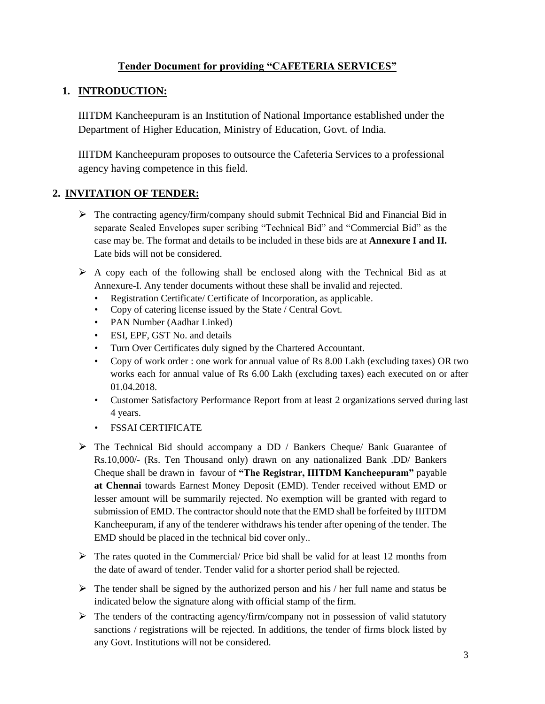## **Tender Document for providing "CAFETERIA SERVICES"**

### **1. INTRODUCTION:**

IIITDM Kancheepuram is an Institution of National Importance established under the Department of Higher Education, Ministry of Education, Govt. of India.

IIITDM Kancheepuram proposes to outsource the Cafeteria Services to a professional agency having competence in this field.

#### **2. INVITATION OF TENDER:**

- $\triangleright$  The contracting agency/firm/company should submit Technical Bid and Financial Bid in separate Sealed Envelopes super scribing "Technical Bid" and "Commercial Bid" as the case may be. The format and details to be included in these bids are at **Annexure I and II.**  Late bids will not be considered.
- $\triangleright$  A copy each of the following shall be enclosed along with the Technical Bid as at Annexure-I. Any tender documents without these shall be invalid and rejected.
	- Registration Certificate/ Certificate of Incorporation, as applicable.
	- Copy of catering license issued by the State / Central Govt.
	- PAN Number (Aadhar Linked)
	- ESI, EPF, GST No. and details
	- Turn Over Certificates duly signed by the Chartered Accountant.
	- Copy of work order : one work for annual value of Rs 8.00 Lakh (excluding taxes) OR two works each for annual value of Rs 6.00 Lakh (excluding taxes) each executed on or after 01.04.2018.
	- Customer Satisfactory Performance Report from at least 2 organizations served during last 4 years.
	- FSSAI CERTIFICATE
- $\triangleright$  The Technical Bid should accompany a DD / Bankers Cheque/ Bank Guarantee of Rs.10,000/- (Rs. Ten Thousand only) drawn on any nationalized Bank .DD/ Bankers Cheque shall be drawn in favour of **"The Registrar, IIITDM Kancheepuram"** payable **at Chennai** towards Earnest Money Deposit (EMD). Tender received without EMD or lesser amount will be summarily rejected. No exemption will be granted with regard to submission of EMD. The contractor should note that the EMD shall be forfeited by IIITDM Kancheepuram, if any of the tenderer withdraws his tender after opening of the tender. The EMD should be placed in the technical bid cover only..
- $\triangleright$  The rates quoted in the Commercial/ Price bid shall be valid for at least 12 months from the date of award of tender. Tender valid for a shorter period shall be rejected.
- $\triangleright$  The tender shall be signed by the authorized person and his / her full name and status be indicated below the signature along with official stamp of the firm.
- $\triangleright$  The tenders of the contracting agency/firm/company not in possession of valid statutory sanctions / registrations will be rejected. In additions, the tender of firms block listed by any Govt. Institutions will not be considered.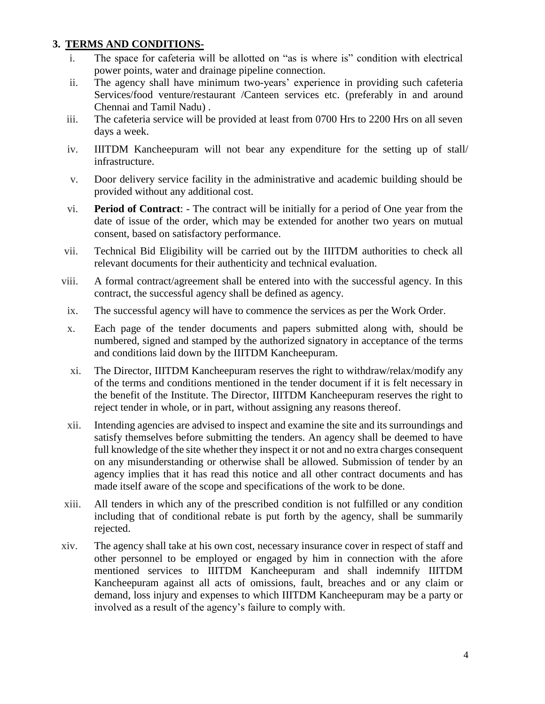#### **3. TERMS AND CONDITIONS-**

- i. The space for cafeteria will be allotted on "as is where is" condition with electrical power points, water and drainage pipeline connection.
- ii. The agency shall have minimum two-years' experience in providing such cafeteria Services/food venture/restaurant /Canteen services etc. (preferably in and around Chennai and Tamil Nadu) .
- iii. The cafeteria service will be provided at least from 0700 Hrs to 2200 Hrs on all seven days a week.
- iv. IIITDM Kancheepuram will not bear any expenditure for the setting up of stall/ infrastructure.
- v. Door delivery service facility in the administrative and academic building should be provided without any additional cost.
- vi. **Period of Contract**: The contract will be initially for a period of One year from the date of issue of the order, which may be extended for another two years on mutual consent, based on satisfactory performance.
- vii. Technical Bid Eligibility will be carried out by the IIITDM authorities to check all relevant documents for their authenticity and technical evaluation.
- viii. A formal contract/agreement shall be entered into with the successful agency. In this contract, the successful agency shall be defined as agency.
- ix. The successful agency will have to commence the services as per the Work Order.
- x. Each page of the tender documents and papers submitted along with, should be numbered, signed and stamped by the authorized signatory in acceptance of the terms and conditions laid down by the IIITDM Kancheepuram.
- xi. The Director, IIITDM Kancheepuram reserves the right to withdraw/relax/modify any of the terms and conditions mentioned in the tender document if it is felt necessary in the benefit of the Institute. The Director, IIITDM Kancheepuram reserves the right to reject tender in whole, or in part, without assigning any reasons thereof.
- xii. Intending agencies are advised to inspect and examine the site and its surroundings and satisfy themselves before submitting the tenders. An agency shall be deemed to have full knowledge of the site whether they inspect it or not and no extra charges consequent on any misunderstanding or otherwise shall be allowed. Submission of tender by an agency implies that it has read this notice and all other contract documents and has made itself aware of the scope and specifications of the work to be done.
- xiii. All tenders in which any of the prescribed condition is not fulfilled or any condition including that of conditional rebate is put forth by the agency, shall be summarily rejected.
- xiv. The agency shall take at his own cost, necessary insurance cover in respect of staff and other personnel to be employed or engaged by him in connection with the afore mentioned services to IIITDM Kancheepuram and shall indemnify IIITDM Kancheepuram against all acts of omissions, fault, breaches and or any claim or demand, loss injury and expenses to which IIITDM Kancheepuram may be a party or involved as a result of the agency's failure to comply with.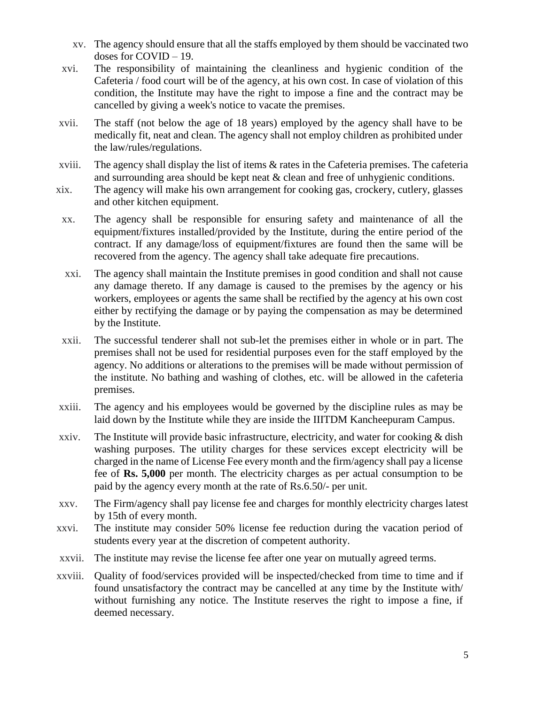- xv. The agency should ensure that all the staffs employed by them should be vaccinated two doses for COVID – 19.
- xvi. The responsibility of maintaining the cleanliness and hygienic condition of the Cafeteria / food court will be of the agency, at his own cost. In case of violation of this condition, the Institute may have the right to impose a fine and the contract may be cancelled by giving a week's notice to vacate the premises.
- xvii. The staff (not below the age of 18 years) employed by the agency shall have to be medically fit, neat and clean. The agency shall not employ children as prohibited under the law/rules/regulations.
- xviii. The agency shall display the list of items & rates in the Cafeteria premises. The cafeteria and surrounding area should be kept neat  $\&$  clean and free of unhygienic conditions.
- xix. The agency will make his own arrangement for cooking gas, crockery, cutlery, glasses and other kitchen equipment.
- xx. The agency shall be responsible for ensuring safety and maintenance of all the equipment/fixtures installed/provided by the Institute, during the entire period of the contract. If any damage/loss of equipment/fixtures are found then the same will be recovered from the agency. The agency shall take adequate fire precautions.
- xxi. The agency shall maintain the Institute premises in good condition and shall not cause any damage thereto. If any damage is caused to the premises by the agency or his workers, employees or agents the same shall be rectified by the agency at his own cost either by rectifying the damage or by paying the compensation as may be determined by the Institute.
- xxii. The successful tenderer shall not sub-let the premises either in whole or in part. The premises shall not be used for residential purposes even for the staff employed by the agency. No additions or alterations to the premises will be made without permission of the institute. No bathing and washing of clothes, etc. will be allowed in the cafeteria premises.
- xxiii. The agency and his employees would be governed by the discipline rules as may be laid down by the Institute while they are inside the IIITDM Kancheepuram Campus.
- xxiv. The Institute will provide basic infrastructure, electricity, and water for cooking & dish washing purposes. The utility charges for these services except electricity will be charged in the name of License Fee every month and the firm/agency shall pay a license fee of **Rs. 5,000** per month. The electricity charges as per actual consumption to be paid by the agency every month at the rate of Rs.6.50/- per unit.
- xxv. The Firm/agency shall pay license fee and charges for monthly electricity charges latest by 15th of every month.
- xxvi. The institute may consider 50% license fee reduction during the vacation period of students every year at the discretion of competent authority.
- xxvii. The institute may revise the license fee after one year on mutually agreed terms.
- xxviii. Quality of food/services provided will be inspected/checked from time to time and if found unsatisfactory the contract may be cancelled at any time by the Institute with/ without furnishing any notice. The Institute reserves the right to impose a fine, if deemed necessary.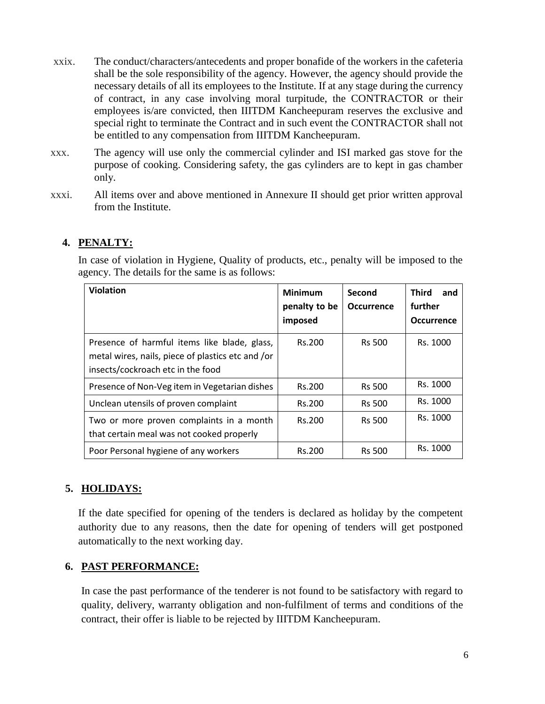- xxix. The conduct/characters/antecedents and proper bonafide of the workers in the cafeteria shall be the sole responsibility of the agency. However, the agency should provide the necessary details of all its employees to the Institute. If at any stage during the currency of contract, in any case involving moral turpitude, the CONTRACTOR or their employees is/are convicted, then IIITDM Kancheepuram reserves the exclusive and special right to terminate the Contract and in such event the CONTRACTOR shall not be entitled to any compensation from IIITDM Kancheepuram.
- xxx. The agency will use only the commercial cylinder and ISI marked gas stove for the purpose of cooking. Considering safety, the gas cylinders are to kept in gas chamber only.
- xxxi. All items over and above mentioned in Annexure II should get prior written approval from the Institute.

# **4. PENALTY:**

In case of violation in Hygiene, Quality of products, etc., penalty will be imposed to the agency. The details for the same is as follows:

| <b>Violation</b>                                                                                                                       | <b>Minimum</b><br>penalty to be<br>imposed | Second<br><b>Occurrence</b> | <b>Third</b><br>and<br>further<br><b>Occurrence</b> |
|----------------------------------------------------------------------------------------------------------------------------------------|--------------------------------------------|-----------------------------|-----------------------------------------------------|
| Presence of harmful items like blade, glass,<br>metal wires, nails, piece of plastics etc and /or<br>insects/cockroach etc in the food | Rs.200                                     | <b>Rs 500</b>               | Rs. 1000                                            |
| Presence of Non-Veg item in Vegetarian dishes                                                                                          | Rs.200                                     | <b>Rs 500</b>               | Rs. 1000                                            |
| Unclean utensils of proven complaint                                                                                                   | Rs.200                                     | <b>Rs 500</b>               | Rs. 1000                                            |
| Two or more proven complaints in a month<br>that certain meal was not cooked properly                                                  | Rs.200                                     | <b>Rs 500</b>               | Rs. 1000                                            |
| Poor Personal hygiene of any workers                                                                                                   | Rs.200                                     | <b>Rs 500</b>               | Rs. 1000                                            |

# **5. HOLIDAYS:**

If the date specified for opening of the tenders is declared as holiday by the competent authority due to any reasons, then the date for opening of tenders will get postponed automatically to the next working day.

# **6. PAST PERFORMANCE:**

In case the past performance of the tenderer is not found to be satisfactory with regard to quality, delivery, warranty obligation and non-fulfilment of terms and conditions of the contract, their offer is liable to be rejected by IIITDM Kancheepuram.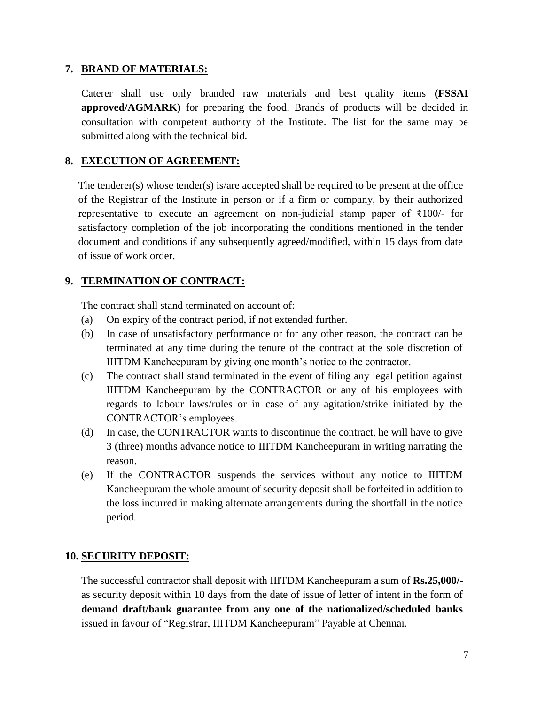#### **7. BRAND OF MATERIALS:**

Caterer shall use only branded raw materials and best quality items **(FSSAI approved/AGMARK)** for preparing the food. Brands of products will be decided in consultation with competent authority of the Institute. The list for the same may be submitted along with the technical bid.

### **8. EXECUTION OF AGREEMENT:**

The tenderer(s) whose tender(s) is/are accepted shall be required to be present at the office of the Registrar of the Institute in person or if a firm or company, by their authorized representative to execute an agreement on non-judicial stamp paper of ₹100/- for satisfactory completion of the job incorporating the conditions mentioned in the tender document and conditions if any subsequently agreed/modified, within 15 days from date of issue of work order.

# **9. TERMINATION OF CONTRACT:**

The contract shall stand terminated on account of:

- (a) On expiry of the contract period, if not extended further.
- (b) In case of unsatisfactory performance or for any other reason, the contract can be terminated at any time during the tenure of the contract at the sole discretion of IIITDM Kancheepuram by giving one month's notice to the contractor.
- (c) The contract shall stand terminated in the event of filing any legal petition against IIITDM Kancheepuram by the CONTRACTOR or any of his employees with regards to labour laws/rules or in case of any agitation/strike initiated by the CONTRACTOR's employees.
- (d) In case, the CONTRACTOR wants to discontinue the contract, he will have to give 3 (three) months advance notice to IIITDM Kancheepuram in writing narrating the reason.
- (e) If the CONTRACTOR suspends the services without any notice to IIITDM Kancheepuram the whole amount of security deposit shall be forfeited in addition to the loss incurred in making alternate arrangements during the shortfall in the notice period.

#### **10. SECURITY DEPOSIT:**

The successful contractor shall deposit with IIITDM Kancheepuram a sum of **Rs.25,000/** as security deposit within 10 days from the date of issue of letter of intent in the form of **demand draft/bank guarantee from any one of the nationalized/scheduled banks**  issued in favour of "Registrar, IIITDM Kancheepuram" Payable at Chennai.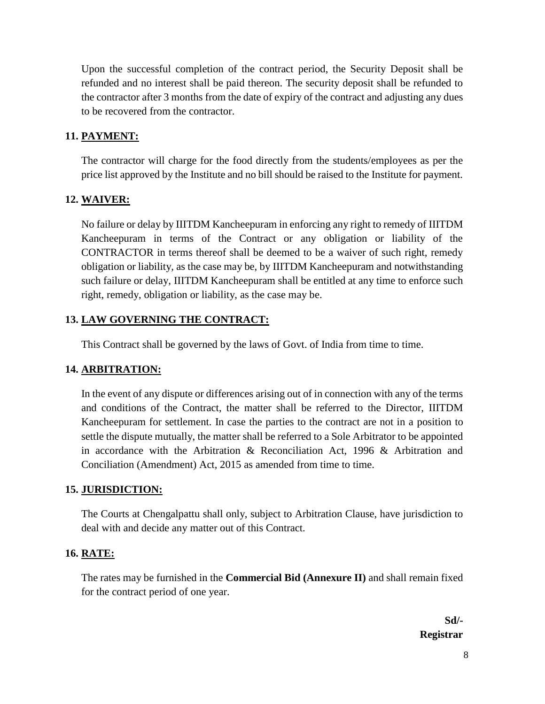Upon the successful completion of the contract period, the Security Deposit shall be refunded and no interest shall be paid thereon. The security deposit shall be refunded to the contractor after 3 months from the date of expiry of the contract and adjusting any dues to be recovered from the contractor.

#### **11. PAYMENT:**

The contractor will charge for the food directly from the students/employees as per the price list approved by the Institute and no bill should be raised to the Institute for payment.

#### **12. WAIVER:**

No failure or delay by IIITDM Kancheepuram in enforcing any right to remedy of IIITDM Kancheepuram in terms of the Contract or any obligation or liability of the CONTRACTOR in terms thereof shall be deemed to be a waiver of such right, remedy obligation or liability, as the case may be, by IIITDM Kancheepuram and notwithstanding such failure or delay, IIITDM Kancheepuram shall be entitled at any time to enforce such right, remedy, obligation or liability, as the case may be.

#### **13. LAW GOVERNING THE CONTRACT:**

This Contract shall be governed by the laws of Govt. of India from time to time.

#### **14. ARBITRATION:**

In the event of any dispute or differences arising out of in connection with any of the terms and conditions of the Contract, the matter shall be referred to the Director, IIITDM Kancheepuram for settlement. In case the parties to the contract are not in a position to settle the dispute mutually, the matter shall be referred to a Sole Arbitrator to be appointed in accordance with the Arbitration & Reconciliation Act, 1996 & Arbitration and Conciliation (Amendment) Act, 2015 as amended from time to time.

#### **15. JURISDICTION:**

The Courts at Chengalpattu shall only, subject to Arbitration Clause, have jurisdiction to deal with and decide any matter out of this Contract.

#### **16. RATE:**

The rates may be furnished in the **Commercial Bid (Annexure II)** and shall remain fixed for the contract period of one year.

> **Sd/- Registrar**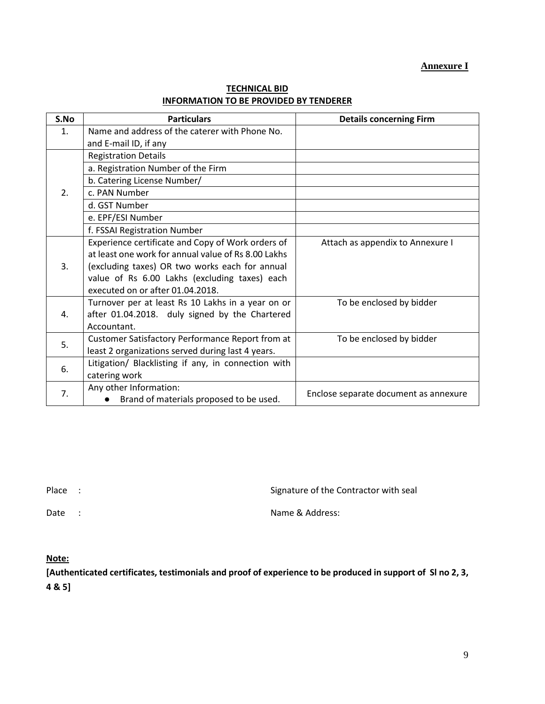#### **Annexure I**

| S.No             | <b>Particulars</b>                                  | <b>Details concerning Firm</b>        |  |  |
|------------------|-----------------------------------------------------|---------------------------------------|--|--|
| 1.               | Name and address of the caterer with Phone No.      |                                       |  |  |
|                  | and E-mail ID, if any                               |                                       |  |  |
|                  | <b>Registration Details</b>                         |                                       |  |  |
|                  | a. Registration Number of the Firm                  |                                       |  |  |
|                  | b. Catering License Number/                         |                                       |  |  |
| $\overline{2}$ . | c. PAN Number                                       |                                       |  |  |
|                  | d. GST Number                                       |                                       |  |  |
|                  | e. EPF/ESI Number                                   |                                       |  |  |
|                  | f. FSSAI Registration Number                        |                                       |  |  |
|                  | Experience certificate and Copy of Work orders of   | Attach as appendix to Annexure I      |  |  |
|                  | at least one work for annual value of Rs 8.00 Lakhs |                                       |  |  |
| 3.               | (excluding taxes) OR two works each for annual      |                                       |  |  |
|                  | value of Rs 6.00 Lakhs (excluding taxes) each       |                                       |  |  |
|                  | executed on or after 01.04.2018.                    |                                       |  |  |
|                  | Turnover per at least Rs 10 Lakhs in a year on or   | To be enclosed by bidder              |  |  |
| 4.               | after 01.04.2018. duly signed by the Chartered      |                                       |  |  |
|                  | Accountant.                                         |                                       |  |  |
| 5.               | Customer Satisfactory Performance Report from at    | To be enclosed by bidder              |  |  |
|                  | least 2 organizations served during last 4 years.   |                                       |  |  |
| 6.               | Litigation/ Blacklisting if any, in connection with |                                       |  |  |
|                  | catering work                                       |                                       |  |  |
| 7.               | Any other Information:                              |                                       |  |  |
|                  | Brand of materials proposed to be used.             | Enclose separate document as annexure |  |  |

#### **TECHNICAL BID INFORMATION TO BE PROVIDED BY TENDERER**

Place : Signature of the Contractor with seal

Date : Name & Address:

**Note:**

**[Authenticated certificates, testimonials and proof of experience to be produced in support of Sl no 2, 3, 4 & 5]**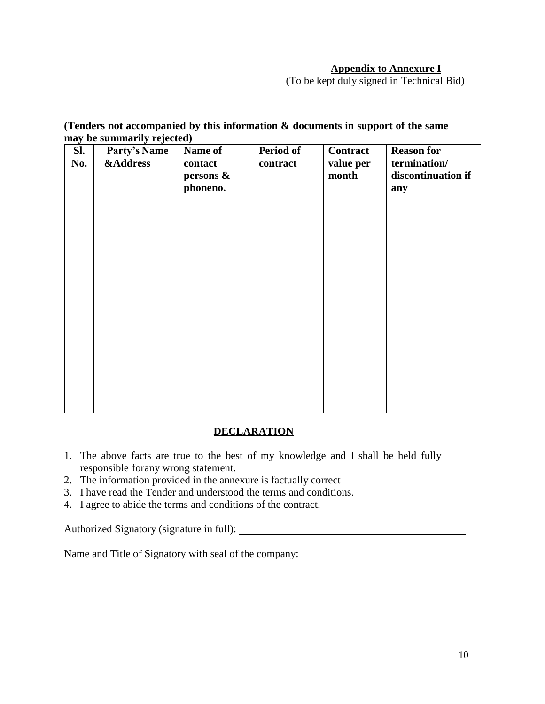### **Appendix to Annexure I**

(To be kept duly signed in Technical Bid)

### **(Tenders not accompanied by this information & documents in support of the same may be summarily rejected)**

| Sl.<br>No. | $\cdot$<br><b>Party's Name</b><br><b>&amp;Address</b> | Name of<br>contact<br>persons &<br>phoneno. | <b>Period of</b><br>contract | <b>Contract</b><br>value per<br>month | <b>Reason for</b><br>termination/<br>discontinuation if<br>any |
|------------|-------------------------------------------------------|---------------------------------------------|------------------------------|---------------------------------------|----------------------------------------------------------------|
|            |                                                       |                                             |                              |                                       |                                                                |
|            |                                                       |                                             |                              |                                       |                                                                |
|            |                                                       |                                             |                              |                                       |                                                                |
|            |                                                       |                                             |                              |                                       |                                                                |
|            |                                                       |                                             |                              |                                       |                                                                |

### **DECLARATION**

- 1. The above facts are true to the best of my knowledge and I shall be held fully responsible forany wrong statement.
- 2. The information provided in the annexure is factually correct
- 3. I have read the Tender and understood the terms and conditions.
- 4. I agree to abide the terms and conditions of the contract.

Authorized Signatory (signature in full):

Name and Title of Signatory with seal of the company: